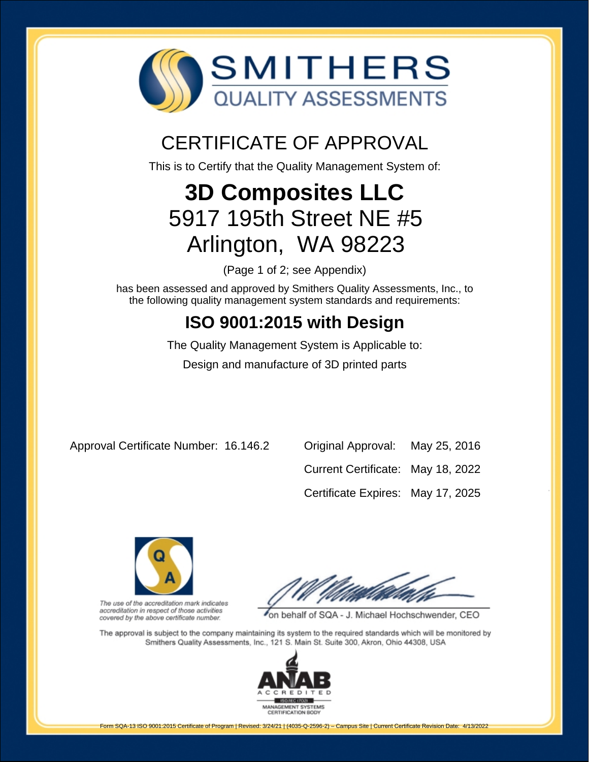

## CERTIFICATE OF APPROVAL

This is to Certify that the Quality Management System of:

# **3D Composites LLC** 5917 195th Street NE #5 Arlington, WA 98223

(Page 1 of 2; see Appendix)

has been assessed and approved by Smithers Quality Assessments, Inc., to the following quality management system standards and requirements:

## **ISO 9001:2015 with Design**

The Quality Management System is Applicable to: Design and manufacture of 3D printed parts

Approval Certificate Number: 16.146.2 Original Approval: May 25, 2016

Current Certificate: May 18, 2022

Certificate Expires: May 17, 2025



The use of the accreditation mark indicates accreditation in respect of those activities covered by the above certificate number.

on behalf of SQA - J. Michael Hochschwender, CEO

The approval is subject to the company maintaining its system to the required standards which will be monitored by Smithers Quality Assessments, Inc., 121 S. Main St. Suite 300, Akron, Ohio 44308, USA